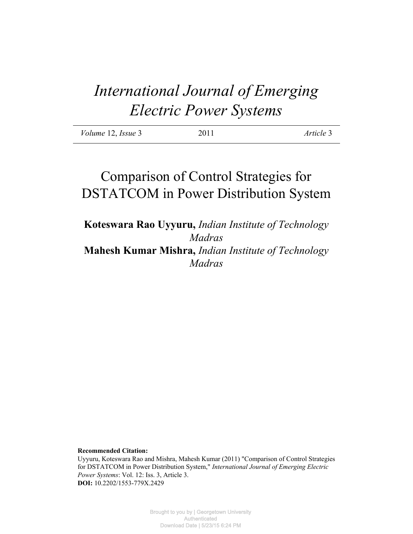# *International Journal of Emerging Electric Power Systems*

| Volume 12, Issue 3 | 2011 | Article 3 |
|--------------------|------|-----------|
|                    |      |           |

## Comparison of Control Strategies for DSTATCOM in Power Distribution System

**Koteswara Rao Uyyuru,** *Indian Institute of Technology Madras* **Mahesh Kumar Mishra,** *Indian Institute of Technology Madras*

**Recommended Citation:**

Uyyuru, Koteswara Rao and Mishra, Mahesh Kumar (2011) "Comparison of Control Strategies for DSTATCOM in Power Distribution System," *International Journal of Emerging Electric Power Systems*: Vol. 12: Iss. 3, Article 3. **DOI:** 10.2202/1553-779X.2429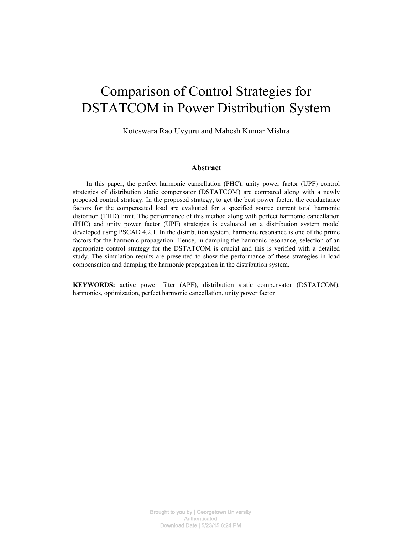## Comparison of Control Strategies for DSTATCOM in Power Distribution System

Koteswara Rao Uyyuru and Mahesh Kumar Mishra

#### **Abstract**

In this paper, the perfect harmonic cancellation (PHC), unity power factor (UPF) control strategies of distribution static compensator (DSTATCOM) are compared along with a newly proposed control strategy. In the proposed strategy, to get the best power factor, the conductance factors for the compensated load are evaluated for a specified source current total harmonic distortion (THD) limit. The performance of this method along with perfect harmonic cancellation (PHC) and unity power factor (UPF) strategies is evaluated on a distribution system model developed using PSCAD 4.2.1. In the distribution system, harmonic resonance is one of the prime factors for the harmonic propagation. Hence, in damping the harmonic resonance, selection of an appropriate control strategy for the DSTATCOM is crucial and this is verified with a detailed study. The simulation results are presented to show the performance of these strategies in load compensation and damping the harmonic propagation in the distribution system.

**KEYWORDS:** active power filter (APF), distribution static compensator (DSTATCOM), harmonics, optimization, perfect harmonic cancellation, unity power factor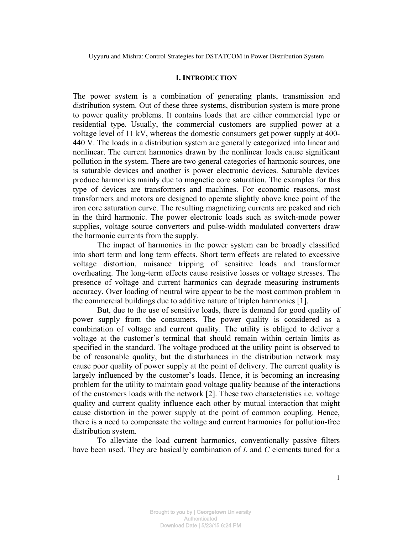#### **I. INTRODUCTION**

The power system is a combination of generating plants, transmission and distribution system. Out of these three systems, distribution system is more prone to power quality problems. It contains loads that are either commercial type or residential type. Usually, the commercial customers are supplied power at a voltage level of 11 kV, whereas the domestic consumers get power supply at 400- 440 V. The loads in a distribution system are generally categorized into linear and nonlinear. The current harmonics drawn by the nonlinear loads cause significant pollution in the system. There are two general categories of harmonic sources, one is saturable devices and another is power electronic devices. Saturable devices produce harmonics mainly due to magnetic core saturation. The examples for this type of devices are transformers and machines. For economic reasons, most transformers and motors are designed to operate slightly above knee point of the iron core saturation curve. The resulting magnetizing currents are peaked and rich in the third harmonic. The power electronic loads such as switch-mode power supplies, voltage source converters and pulse-width modulated converters draw the harmonic currents from the supply.

The impact of harmonics in the power system can be broadly classified into short term and long term effects. Short term effects are related to excessive voltage distortion, nuisance tripping of sensitive loads and transformer overheating. The long-term effects cause resistive losses or voltage stresses. The presence of voltage and current harmonics can degrade measuring instruments accuracy. Over loading of neutral wire appear to be the most common problem in the commercial buildings due to additive nature of triplen harmonics [1].

But, due to the use of sensitive loads, there is demand for good quality of power supply from the consumers. The power quality is considered as a combination of voltage and current quality. The utility is obliged to deliver a voltage at the customer's terminal that should remain within certain limits as specified in the standard. The voltage produced at the utility point is observed to be of reasonable quality, but the disturbances in the distribution network may cause poor quality of power supply at the point of delivery. The current quality is largely influenced by the customer's loads. Hence, it is becoming an increasing problem for the utility to maintain good voltage quality because of the interactions of the customers loads with the network [2]. These two characteristics i.e. voltage quality and current quality influence each other by mutual interaction that might cause distortion in the power supply at the point of common coupling. Hence, there is a need to compensate the voltage and current harmonics for pollution-free distribution system.

To alleviate the load current harmonics, conventionally passive filters have been used. They are basically combination of *L* and *C* elements tuned for a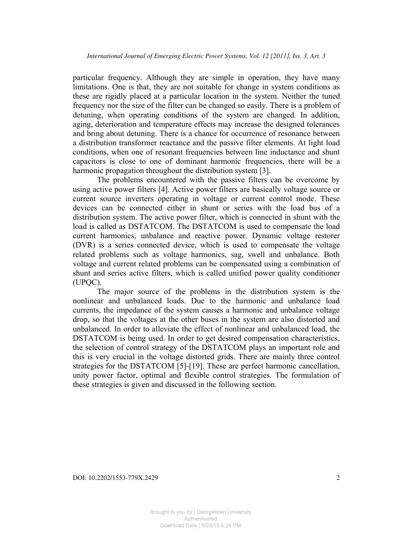particular frequency. Although they are simple in operation, they have many limitations. One is that, they are not suitable for change in system conditions as these are rigidly placed at a particular location in the system. Neither the tuned frequency nor the size of the filter can be changed so easily. There is a problem of detuning, when operating conditions of the system are changed. In addition, aging, deterioration and temperature effects may increase the designed tolerances and bring about detuning. There is a chance for occurrence of resonance between a distribution transformer reactance and the passive filter elements. At light load conditions, when one of resonant frequencies between line inductance and shunt capacitors is close to one of dominant harmonic frequencies, there will be a harmonic propagation throughout the distribution system [3].

The problems encountered with the passive filters can be overcome by using active power filters [4]. Active power filters are basically voltage source or current source inverters operating in voltage or current control mode. These devices can be connected either in shunt or series with the load bus of a distribution system. The active power filter, which is connected in shunt with the load is called as DSTATCOM. The DSTATCOM is used to compensate the load current harmonics, unbalance and reactive power. Dynamic voltage restorer (DVR) is a series connected device, which is used to compensate the voltage related problems such as voltage harmonics, sag, swell and unbalance. Both voltage and current related problems can be compensated using a combination of shunt and series active filters, which is called unified power quality conditioner (UPQC).

The major source of the problems in the distribution system is the nonlinear and unbalanced loads. Due to the harmonic and unbalance load currents, the impedance of the system causes a harmonic and unbalance voltage drop, so that the voltages at the other buses in the system are also distorted and unbalanced. In order to alleviate the effect of nonlinear and unbalanced load, the DSTATCOM is being used. In order to get desired compensation characteristics, the selection of control strategy of the DSTATCOM plays an important role and this is very crucial in the voltage distorted grids. There are mainly three control strategies for the DSTATCOM [5]-[19]. These are perfect harmonic cancellation, unity power factor, optimal and flexible control strategies. The formulation of these strategies is given and discussed in the following section.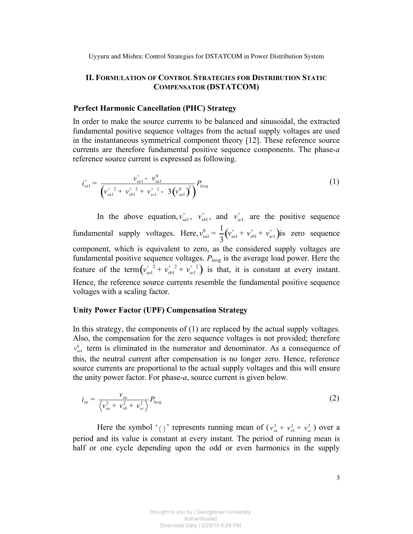## **II. FORMULATION OF CONTROL STRATEGIES FOR DISTRIBUTION STATIC COMPENSATOR (DSTATCOM)**

### **Perfect Harmonic Cancellation (PHC) Strategy**

In order to make the source currents to be balanced and sinusoidal, the extracted fundamental positive sequence voltages from the actual supply voltages are used in the instantaneous symmetrical component theory [12]. These reference source currents are therefore fundamental positive sequence components. The phase-*a* reference source current is expressed as following.

$$
i_{sal}^{+} = \frac{v_{sal}^{+} - v_{sal}^{0}}{\left(v_{sal}^{+}^{2} + v_{sh1}^{+}^{2} + v_{sci}^{+}^{2} - 3(v_{sal}^{0})^{2}\right)} P_{lavg}
$$
\n(1)

In the above equation,  $v_{\text{sal}}^+$ ,  $v_{\text{sol}}^+$ , and  $v_{\text{sel}}^+$  are the positive sequence fundamental supply voltages. Here,  $v_{sa1}^0 = \frac{1}{2} (v_{sa1}^+ + v_{sb1}^+ + v_{sc1}^+)$ is 1  $v_{\text{sal}}^0 = \frac{1}{3} (v_{\text{sal}}^+ + v_{\text{spl}}^+ + v_{\text{sch}}^+)$  is zero sequence component, which is equivalent to zero, as the considered supply voltages are fundamental positive sequence voltages. *Plavg* is the average load power. Here the feature of the term  $(v_{sal}^+ + v_{\text{sh}}^+ + v_{\text{sel}}^+ + v_{\text{sel}}^+)$  $(v_{\text{sal}}^{+2} + v_{\text{spl}}^{+2} + v_{\text{sel}}^{+2})$  is that, it is constant at every instant. Hence, the reference source currents resemble the fundamental positive sequence voltages with a scaling factor.

#### **Unity Power Factor (UPF) Compensation Strategy**

In this strategy, the components of (1) are replaced by the actual supply voltages. Also, the compensation for the zero sequence voltages is not provided; therefore  $v_{\rm sat}^0$  term is eliminated in the numerator and denominator. As a consequence of this, the neutral current after compensation is no longer zero. Hence, reference source currents are proportional to the actual supply voltages and this will ensure the unity power factor. For phase-*a*, source current is given below.

$$
i_{sa} = \frac{v_{sa}}{\langle v_{sa}^2 + v_{sb}^2 + v_{sc}^2 \rangle} P_{lavg}
$$
 (2)

Here the symbol ' $\langle \rangle$ ' represents running mean of  $(v_{sa}^2 + v_{sb}^2 + v_{sc}^2)$  over a period and its value is constant at every instant. The period of running mean is half or one cycle depending upon the odd or even harmonics in the supply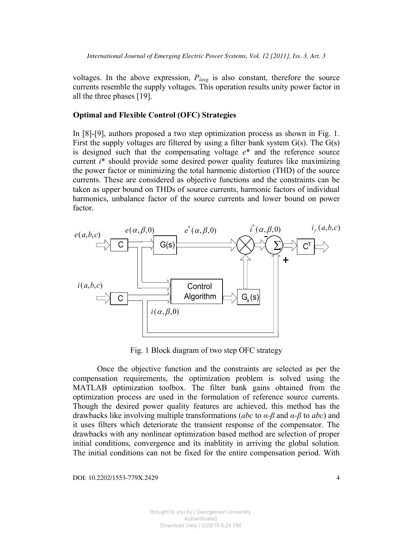voltages. In the above expression, *Plavg* is also constant, therefore the source currents resemble the supply voltages. This operation results unity power factor in all the three phases [19].

### **Optimal and Flexible Control (OFC) Strategies**

In [8]-[9], authors proposed a two step optimization process as shown in Fig. 1. First the supply voltages are filtered by using a filter bank system  $G(s)$ . The  $G(s)$ is designed such that the compensating voltage *e*\* and the reference source current *i*\* should provide some desired power quality features like maximizing the power factor or minimizing the total harmonic distortion (THD) of the source currents. These are considered as objective functions and the constraints can be taken as upper bound on THDs of source currents, harmonic factors of individual harmonics, unbalance factor of the source currents and lower bound on power factor.



Fig. 1 Block diagram of two step OFC strategy

Once the objective function and the constraints are selected as per the compensation requirements, the optimization problem is solved using the MATLAB optimization toolbox. The filter bank gains obtained from the optimization process are used in the formulation of reference source currents. Though the desired power quality features are achieved, this method has the drawbacks like involving multiple transformations (*abc* to *α-β* and *α-β* to *abc*) and it uses filters which deteriorate the transient response of the compensator. The drawbacks with any nonlinear optimization based method are selection of proper initial conditions, convergence and its inablitity in arriving the global solution. The initial conditions can not be fixed for the entire compensation period. With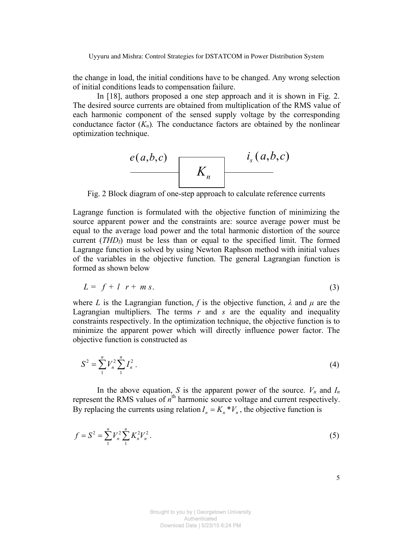the change in load, the initial conditions have to be changed. Any wrong selection of initial conditions leads to compensation failure.

In [18], authors proposed a one step approach and it is shown in Fig. 2. The desired source currents are obtained from multiplication of the RMS value of each harmonic component of the sensed supply voltage by the corresponding conductance factor  $(K_n)$ . The conductance factors are obtained by the nonlinear optimization technique.



Fig. 2 Block diagram of one-step approach to calculate reference currents

Lagrange function is formulated with the objective function of minimizing the source apparent power and the constraints are: source average power must be equal to the average load power and the total harmonic distortion of the source current (*THDI*) must be less than or equal to the specified limit. The formed Lagrange function is solved by using Newton Raphson method with initial values of the variables in the objective function. The general Lagrangian function is formed as shown below

$$
L = f + l \ r + m \ s. \tag{3}
$$

where *L* is the Lagrangian function, *f* is the objective function,  $\lambda$  and  $\mu$  are the Lagrangian multipliers. The terms  $r$  and  $s$  are the equality and inequality constraints respectively. In the optimization technique, the objective function is to minimize the apparent power which will directly influence power factor. The objective function is constructed as

$$
S^2 = \sum_{1}^{n} V_n^2 \sum_{1}^{n} I_n^2 \,. \tag{4}
$$

In the above equation, *S* is the apparent power of the source.  $V_n$  and  $I_n$ represent the RMS values of  $n^{\text{th}}$  harmonic source voltage and current respectively. By replacing the currents using relation  $I_n = K_n * V_n$ , the objective function is

$$
f = S^2 = \sum_{1}^{n} V_n^2 \sum_{1}^{n} K_n^2 V_n^2.
$$
 (5)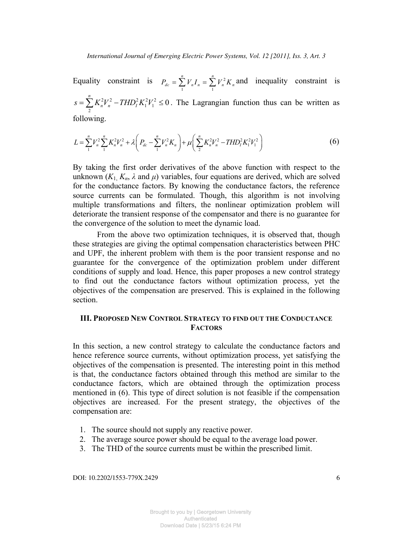Equality constraint is  $P_{dc} = \sum V_{nl} I_n = \sum V_n^2$ 1 1  $P_{dc} = \sum_{n}^{n} V_n I_n = \sum_{n}^{n} V_n^2 K_n$  and inequality constraint is  $^{2}V^{2}$   $TID^{2}V^{2}V^{2}$  $\sum_{i=1}^n K_n r_n$   $111D_i K_1 r_1$  $s = \sum_{n=0}^{n} K_n^2 V_n^2 - THD_I^2 K_1^2 V_1^2 \le 0$ . The Lagrangian function thus can be written as

following.

$$
L = \sum_{1}^{n} V_{n}^{2} \sum_{1}^{n} K_{n}^{2} V_{n}^{2} + \lambda \left( P_{dc} - \sum_{1}^{n} V_{n}^{2} K_{n} \right) + \mu \left( \sum_{2}^{n} K_{n}^{2} V_{n}^{2} - THD_{I}^{2} K_{1}^{2} V_{1}^{2} \right)
$$
(6)

By taking the first order derivatives of the above function with respect to the unknown  $(K_1, K_n, \lambda \text{ and } \mu)$  variables, four equations are derived, which are solved for the conductance factors. By knowing the conductance factors, the reference source currents can be formulated. Though, this algorithm is not involving multiple transformations and filters, the nonlinear optimization problem will deteriorate the transient response of the compensator and there is no guarantee for the convergence of the solution to meet the dynamic load.

From the above two optimization techniques, it is observed that, though these strategies are giving the optimal compensation characteristics between PHC and UPF, the inherent problem with them is the poor transient response and no guarantee for the convergence of the optimization problem under different conditions of supply and load. Hence, this paper proposes a new control strategy to find out the conductance factors without optimization process, yet the objectives of the compensation are preserved. This is explained in the following section.

### **III. PROPOSED NEW CONTROL STRATEGY TO FIND OUT THE CONDUCTANCE FACTORS**

In this section, a new control strategy to calculate the conductance factors and hence reference source currents, without optimization process, yet satisfying the objectives of the compensation is presented. The interesting point in this method is that, the conductance factors obtained through this method are similar to the conductance factors, which are obtained through the optimization process mentioned in (6). This type of direct solution is not feasible if the compensation objectives are increased. For the present strategy, the objectives of the compensation are:

- 1. The source should not supply any reactive power.
- 2. The average source power should be equal to the average load power.
- 3. The THD of the source currents must be within the prescribed limit.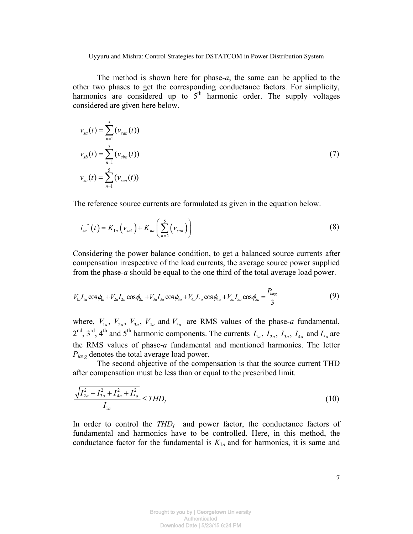The method is shown here for phase-*a*, the same can be applied to the other two phases to get the corresponding conductance factors. For simplicity, harmonics are considered up to  $5<sup>th</sup>$  harmonic order. The supply voltages considered are given here below.

$$
v_{sa}(t) = \sum_{n=1}^{5} (v_{san}(t))
$$
  
\n
$$
v_{sb}(t) = \sum_{n=1}^{5} (v_{sbn}(t))
$$
  
\n
$$
v_{sc}(t) = \sum_{n=1}^{5} (v_{sen}(t))
$$
\n(7)

The reference source currents are formulated as given in the equation below.

$$
i_{sa}^*(t) = K_{1a} \left( v_{sal} \right) + K_{na} \left( \sum_{n=2}^5 \left( v_{san} \right) \right)
$$
 (8)

Considering the power balance condition, to get a balanced source currents after compensation irrespective of the load currents, the average source power supplied from the phase-*a* should be equal to the one third of the total average load power.

$$
V_{1a}I_{1a}\cos\phi_{1a} + V_{2a}I_{2a}\cos\phi_{2a} + V_{3a}I_{3a}\cos\phi_{3a} + V_{4a}I_{4a}\cos\phi_{4a} + V_{5a}I_{5a}\cos\phi_{5a} = \frac{P_{lag}}{3}
$$
(9)

where,  $V_{1a}$ ,  $V_{2a}$ ,  $V_{3a}$ ,  $V_{4a}$  and  $V_{5a}$  are RMS values of the phase-*a* fundamental,  $2<sup>nd</sup>$ ,  $3<sup>rd</sup>$ ,  $4<sup>th</sup>$  and  $5<sup>th</sup>$  harmonic components. The currents  $I_{1a}$ ,  $I_{2a}$ ,  $I_{3a}$ ,  $I_{4a}$  and  $I_{5a}$  are the RMS values of phase-*a* fundamental and mentioned harmonics. The letter *Plavg* denotes the total average load power.

The second objective of the compensation is that the source current THD after compensation must be less than or equal to the prescribed limit.

$$
\frac{\sqrt{I_{2a}^2 + I_{3a}^2 + I_{4a}^2 + I_{5a}^2}}{I_{1a}} \leq THD_I
$$
\n(10)

In order to control the *THD<sub>I</sub>* and power factor, the conductance factors of fundamental and harmonics have to be controlled. Here, in this method, the conductance factor for the fundamental is  $K_{1a}$  and for harmonics, it is same and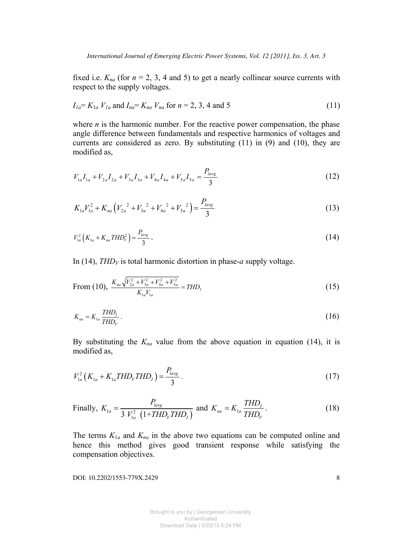*International Journal of Emerging Electric Power Systems, Vol. 12 [2011], Iss. 3, Art. 3*

fixed i.e.  $K_{na}$  (for  $n = 2, 3, 4$  and 5) to get a nearly collinear source currents with respect to the supply voltages.

$$
I_{1a} = K_{1a} V_{1a} \text{ and } I_{na} = K_{na} V_{na} \text{ for } n = 2, 3, 4 \text{ and } 5
$$
 (11)

where *n* is the harmonic number. For the reactive power compensation, the phase angle difference between fundamentals and respective harmonics of voltages and currents are considered as zero. By substituting (11) in (9) and (10), they are modified as,

$$
V_{1a}I_{1a} + V_{2a}I_{2a} + V_{3a}I_{3a} + V_{4a}I_{4a} + V_{5a}I_{5a} = \frac{P_{lavg}}{3}
$$
\n(12)

$$
K_{1a}V_{1a}^2 + K_{na}\left(V_{2a}^2 + V_{3a}^2 + V_{4a}^2 + V_{5a}^2\right) = \frac{P_{lavg}}{3}
$$
\n(13)

$$
V_{1a}^2 \left( K_{1a} + K_{na} THD_V^2 \right) = \frac{P_{lavg}}{3} \,. \tag{14}
$$

In (14), *THDV* is total harmonic distortion in phase-*a* supply voltage.

From (10), 
$$
\frac{K_{na}\sqrt{V_{2a}^2 + V_{3a}^2 + V_{4a}^2 + V_{5a}^2}}{K_{1a}V_{1a}} = THD_I
$$
 (15)

$$
K_{na} = K_{1a} \frac{THD_I}{THD_V} \tag{16}
$$

By substituting the  $K_{na}$  value from the above equation in equation (14), it is modified as,

$$
V_{1a}^{2}\left(K_{1a} + K_{1a}THD_{V}THD_{I}\right) = \frac{P_{lavg}}{3}.
$$
 (17)

Finally, 
$$
K_{1a} = \frac{P_{lavg}}{3 V_{1a}^2 (1 + THD_vTHD_l)}
$$
 and  $K_{na} = K_{1a} \frac{THD_l}{THD_v}$ . (18)

The terms  $K_{1a}$  and  $K_{na}$  in the above two equations can be computed online and hence this method gives good transient response while satisfying the compensation objectives.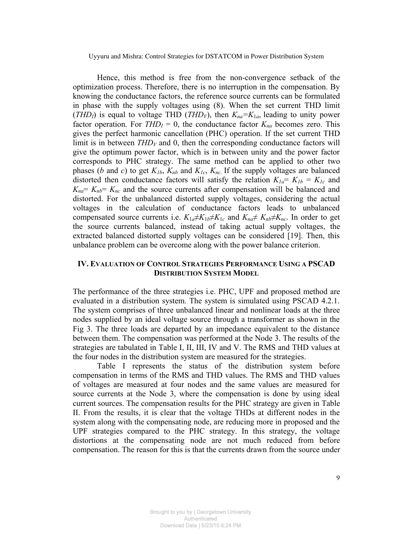Hence, this method is free from the non-convergence setback of the optimization process. Therefore, there is no interruption in the compensation. By knowing the conductance factors, the reference source currents can be formulated in phase with the supply voltages using (8). When the set current THD limit (*THD*<sub>*I*</sub>) is equal to voltage THD (*THD*<sub>*V*</sub>), then  $K_{na} = K_{1a}$ , leading to unity power factor operation. For  $THD_I = 0$ , the conductance factor  $K_{na}$  becomes zero. This gives the perfect harmonic cancellation (PHC) operation. If the set current THD limit is in between  $THD_V$  and 0, then the corresponding conductance factors will give the optimum power factor, which is in between unity and the power factor corresponds to PHC strategy. The same method can be applied to other two phases (*b* and *c*) to get  $K_{1b}$ ,  $K_{nb}$  and  $K_{1c}$ ,  $K_{nc}$ . If the supply voltages are balanced distorted then conductance factors will satisfy the relation  $K_{1a} = K_{1b} = K_{1c}$  and  $K_{na} = K_{nb} = K_{nc}$  and the source currents after compensation will be balanced and distorted. For the unbalanced distorted supply voltages, considering the actual voltages in the calculation of conductance factors leads to unbalanced compensated source currents i.e.  $K_{1a} \neq K_{1b} \neq K_{1c}$  and  $K_{na} \neq K_{nb} \neq K_{nc}$ . In order to get the source currents balanced, instead of taking actual supply voltages, the extracted balanced distorted supply voltages can be considered [19]. Then, this unbalance problem can be overcome along with the power balance criterion.

## **IV. EVALUATION OF CONTROL STRATEGIES PERFORMANCE USING A PSCAD DISTRIBUTION SYSTEM MODEL**

The performance of the three strategies i.e. PHC, UPF and proposed method are evaluated in a distribution system. The system is simulated using PSCAD 4.2.1. The system comprises of three unbalanced linear and nonlinear loads at the three nodes supplied by an ideal voltage source through a transformer as shown in the Fig 3. The three loads are departed by an impedance equivalent to the distance between them. The compensation was performed at the Node 3. The results of the strategies are tabulated in Table I, II, III, IV and V. The RMS and THD values at the four nodes in the distribution system are measured for the strategies.

Table I represents the status of the distribution system before compensation in terms of the RMS and THD values. The RMS and THD values of voltages are measured at four nodes and the same values are measured for source currents at the Node 3, where the compensation is done by using ideal current sources. The compensation results for the PHC strategy are given in Table II. From the results, it is clear that the voltage THDs at different nodes in the system along with the compensating node, are reducing more in proposed and the UPF strategies compared to the PHC strategy. In this strategy, the voltage distortions at the compensating node are not much reduced from before compensation. The reason for this is that the currents drawn from the source under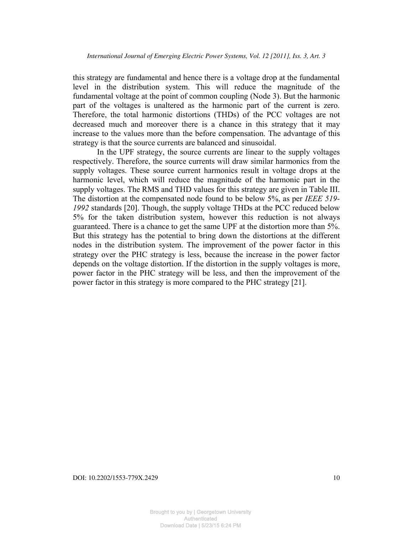this strategy are fundamental and hence there is a voltage drop at the fundamental level in the distribution system. This will reduce the magnitude of the fundamental voltage at the point of common coupling (Node 3). But the harmonic part of the voltages is unaltered as the harmonic part of the current is zero. Therefore, the total harmonic distortions (THDs) of the PCC voltages are not decreased much and moreover there is a chance in this strategy that it may increase to the values more than the before compensation. The advantage of this strategy is that the source currents are balanced and sinusoidal.

In the UPF strategy, the source currents are linear to the supply voltages respectively. Therefore, the source currents will draw similar harmonics from the supply voltages. These source current harmonics result in voltage drops at the harmonic level, which will reduce the magnitude of the harmonic part in the supply voltages. The RMS and THD values for this strategy are given in Table III. The distortion at the compensated node found to be below 5%, as per *IEEE 519- 1992* standards [20]. Though, the supply voltage THDs at the PCC reduced below 5% for the taken distribution system, however this reduction is not always guaranteed. There is a chance to get the same UPF at the distortion more than 5%. But this strategy has the potential to bring down the distortions at the different nodes in the distribution system. The improvement of the power factor in this strategy over the PHC strategy is less, because the increase in the power factor depends on the voltage distortion. If the distortion in the supply voltages is more, power factor in the PHC strategy will be less, and then the improvement of the power factor in this strategy is more compared to the PHC strategy [21].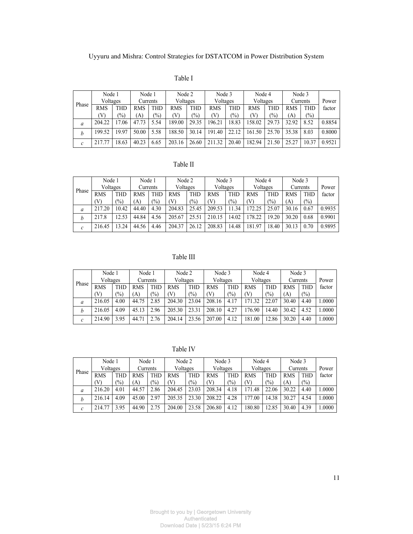## Table I

|       | Node 1     |               | Node 1     |               | Node 2     |               | Node 3   |                | Node 4     |               | Node 3     |               |        |
|-------|------------|---------------|------------|---------------|------------|---------------|----------|----------------|------------|---------------|------------|---------------|--------|
| Phase | Voltages   |               |            | Currents      | Voltages   |               | Voltages |                | Voltages   |               | Currents   |               | Power  |
|       | <b>RMS</b> | THD           | <b>RMS</b> | THD           | <b>RMS</b> | THD           | RMS      | <b>THD</b>     | <b>RMS</b> | <b>THD</b>    | <b>RMS</b> | <b>THD</b>    | factor |
|       | V)         | $\frac{1}{2}$ | (A)        | $\frac{1}{2}$ | V)         | $\frac{1}{2}$ | V)       | $\frac{10}{6}$ | V          | $\frac{1}{2}$ | A          | $\frac{1}{2}$ |        |
| a     | 204.22     | .06           | 47.73      | 5.54          | 189.00     | 29.35         | 196.21   | 18.83          | 158.02     | 29.73         | 32.92      | 8.52          | 0.8854 |
| h     | 199.52     | 19.97         | 50.00      | 5.58          | 188.50     | 30.14         | 191.40   | 22.12          | 161.50     | 25.70         | 35.38      | 8.03          | 0.8000 |
| c     | 217.77     | 18.63         | 40.23      | 6.65          | 203.16     | 26.60         | 211.32   | 20.40          | 182.94     | 21.50         | 25.27      | 10.37         | 0.9521 |

## Table II

|               | Node 1<br>Node 1 |               |            | Node 2        |            | Node 3 |            | Node 4     | Node 3     |               |            |            |        |
|---------------|------------------|---------------|------------|---------------|------------|--------|------------|------------|------------|---------------|------------|------------|--------|
| Phase         | Voltages         |               |            | Currents      | Voltages   |        | Voltages   |            | Voltages   |               | Currents   |            | Power  |
|               | <b>RMS</b>       | THD           | <b>RMS</b> | THD           | <b>RMS</b> | THD    | <b>RMS</b> | <b>THD</b> | <b>RMS</b> | THD           | <b>RMS</b> | <b>THD</b> | factor |
|               | (V)              | $\frac{1}{2}$ | A          | $\frac{1}{2}$ | V          | (%)    | V          | (%)        | (V)        | $\frac{1}{2}$ | (A         | (%)        |        |
| a             | 217.20           | 0.42          | 44.40      | 4.30          | 204.83     | 25.45  | 209.53     | 11.34      | 172.25     | 25.07         | 30.16      | 0.67       | 0.9935 |
| b             | 217.8            | 2.53          | 44.84      | 4.56          | 205.67     | 25.51  | 210.15     | 14.02      | 178.22     | 19.20         | 30.20      | 0.68       | 0.9901 |
| $\mathcal{C}$ | 216.45           | 3.24          | 44.56      | 4.46          | 204.37     | 26.12  | 208.83     | 14.48      | 181.97     | 18.40         | 30.13      | 0.70       | 0.9895 |

#### Table III

|       | Node 1     |               | Node 1     |               | Node 2     |               | Node 3     |               | Node 4     |       | Node 3     |               |        |
|-------|------------|---------------|------------|---------------|------------|---------------|------------|---------------|------------|-------|------------|---------------|--------|
| Phase | Voltages   |               | Currents   |               | Voltages   |               | Voltages   |               | Voltages   |       | Currents   |               | Power  |
|       | <b>RMS</b> | <b>THD</b>    | <b>RMS</b> | THD           | <b>RMS</b> | <b>THD</b>    | <b>RMS</b> | THD           | <b>RMS</b> | THD   | <b>RMS</b> | <b>THD</b>    | factor |
|       | V          | $\frac{1}{2}$ | A)         | $\frac{1}{2}$ | V)         | $\frac{1}{2}$ | (V)        | $\frac{1}{2}$ |            | (%)   | (A`        | $\frac{1}{2}$ |        |
| a     | 216.05     | 4.00          | 44.75      | 2.85          | 204.30     | 23.04         | 208.16     | 4.17          | 171.32     | 22.07 | 30.40      | 4.40          | 1.0000 |
| h     | 216.05     | 4.09          | 45.13      | 2.96          | 205.30     | 23.31         | 208.10     | 4.27          | 176.90     | 14.40 | 30.42      | 4.52          | 1.0000 |
|       | 214.90     | .95           | 44.71      | 2.76          | 204.14     | 23.56         | 207.00     | 4.12          | 181.00     | 12.86 | 30.20      | 4.40          | 0000.  |

Table IV

|       | Node 1     |      | Node 1     |               |            | Node 2        |            | Node 3     |            | Node 4          | Node 3     |            |        |
|-------|------------|------|------------|---------------|------------|---------------|------------|------------|------------|-----------------|------------|------------|--------|
|       | Voltages   |      |            | Currents      | Voltages   |               | Voltages   |            | Voltages   |                 | Currents   |            | Power  |
| Phase | <b>RMS</b> | THD  | <b>RMS</b> | THD           | <b>RMS</b> | <b>THD</b>    | <b>RMS</b> | <b>THD</b> | <b>RMS</b> | THD             | <b>RMS</b> | <b>THD</b> | factor |
|       | V)         | (%)  | A)         | $\frac{1}{2}$ | V)         | $\frac{1}{2}$ | V)         | (%)        | V          | $\frac{(0)}{0}$ | (A)        | $(\%)$     |        |
| a     | 216.20     | 4.01 | 44.57      | .86           | 204.45     | 23.03         | 208.34     | 4.18       | 171.48     | 22.06           | 30.22      | 4.40       | 1.0000 |
| b     | 216.14     | 4.09 | 45.00      | 2.97          | 205.35     | 23.30         | 208.22     | 4.28       | 177<br>00  | 14.38           | 30.27      | 4.54       | 1.0000 |
| с     | 214.77     | .95  | 44.90      | 2.75          | 204.00     | 23.58         | 206.80     | 4.12       | 180.80     | 12.85           | 30.40      | 4.39       | 1.0000 |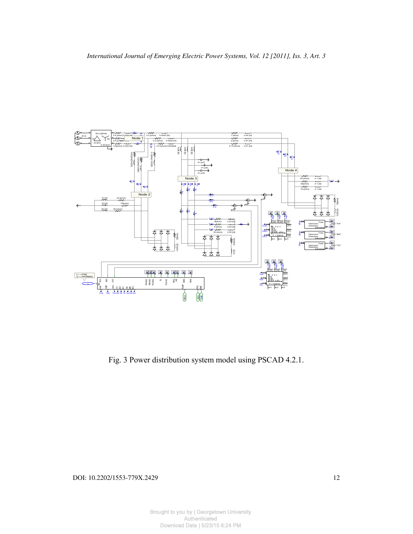

Fig. 3 Power distribution system model using PSCAD 4.2.1.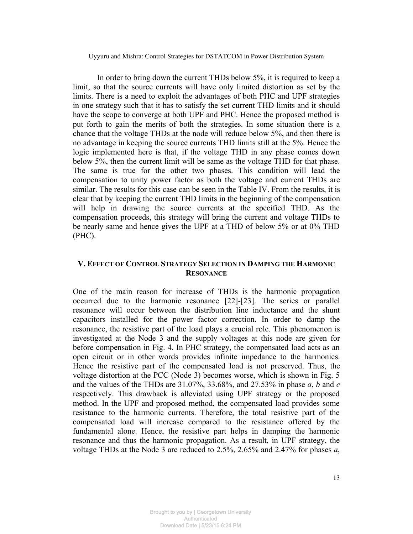In order to bring down the current THDs below 5%, it is required to keep a limit, so that the source currents will have only limited distortion as set by the limits. There is a need to exploit the advantages of both PHC and UPF strategies in one strategy such that it has to satisfy the set current THD limits and it should have the scope to converge at both UPF and PHC. Hence the proposed method is put forth to gain the merits of both the strategies. In some situation there is a chance that the voltage THDs at the node will reduce below 5%, and then there is no advantage in keeping the source currents THD limits still at the 5%. Hence the logic implemented here is that, if the voltage THD in any phase comes down below 5%, then the current limit will be same as the voltage THD for that phase. The same is true for the other two phases. This condition will lead the compensation to unity power factor as both the voltage and current THDs are similar. The results for this case can be seen in the Table IV. From the results, it is clear that by keeping the current THD limits in the beginning of the compensation will help in drawing the source currents at the specified THD. As the compensation proceeds, this strategy will bring the current and voltage THDs to be nearly same and hence gives the UPF at a THD of below 5% or at 0% THD (PHC).

## **V. EFFECT OF CONTROL STRATEGY SELECTION IN DAMPING THE HARMONIC RESONANCE**

One of the main reason for increase of THDs is the harmonic propagation occurred due to the harmonic resonance [22]-[23]. The series or parallel resonance will occur between the distribution line inductance and the shunt capacitors installed for the power factor correction. In order to damp the resonance, the resistive part of the load plays a crucial role. This phenomenon is investigated at the Node 3 and the supply voltages at this node are given for before compensation in Fig. 4. In PHC strategy, the compensated load acts as an open circuit or in other words provides infinite impedance to the harmonics. Hence the resistive part of the compensated load is not preserved. Thus, the voltage distortion at the PCC (Node 3) becomes worse, which is shown in Fig. 5 and the values of the THDs are 31.07%, 33.68%, and 27.53% in phase *a*, *b* and *c* respectively. This drawback is alleviated using UPF strategy or the proposed method. In the UPF and proposed method, the compensated load provides some resistance to the harmonic currents. Therefore, the total resistive part of the compensated load will increase compared to the resistance offered by the fundamental alone. Hence, the resistive part helps in damping the harmonic resonance and thus the harmonic propagation. As a result, in UPF strategy, the voltage THDs at the Node 3 are reduced to 2.5%, 2.65% and 2.47% for phases *a*,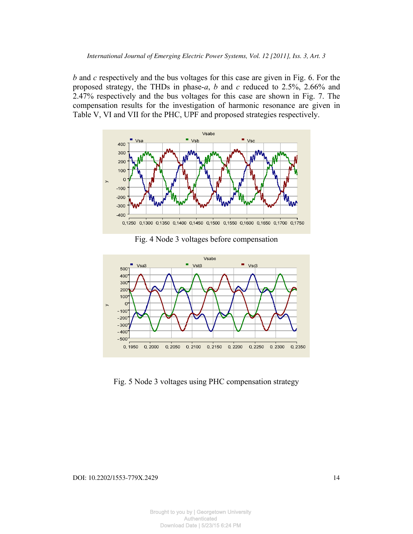*b* and *c* respectively and the bus voltages for this case are given in Fig. 6. For the proposed strategy, the THDs in phase-*a*, *b* and *c* reduced to 2.5%, 2.66% and 2.47% respectively and the bus voltages for this case are shown in Fig. 7. The compensation results for the investigation of harmonic resonance are given in Table V, VI and VII for the PHC, UPF and proposed strategies respectively.



Fig. 4 Node 3 voltages before compensation



Fig. 5 Node 3 voltages using PHC compensation strategy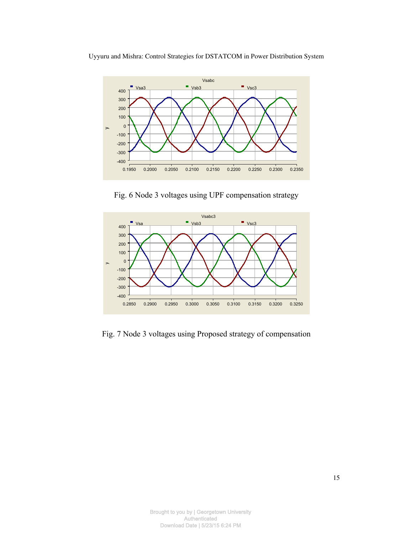

Fig. 6 Node 3 voltages using UPF compensation strategy



Fig. 7 Node 3 voltages using Proposed strategy of compensation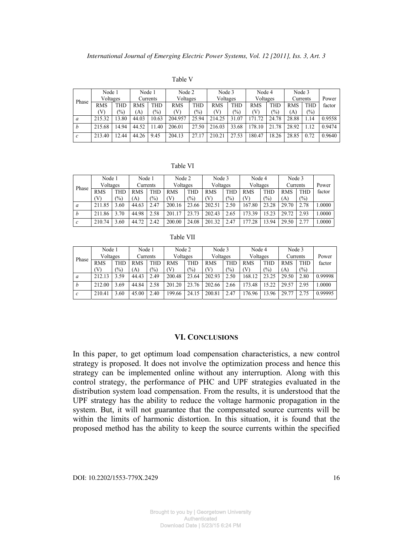Table V

|       | Node 1     |               | Node 1     |               | Node 2     |                 | Node 3     |                | Node 4     |               | Node 3     |            |        |
|-------|------------|---------------|------------|---------------|------------|-----------------|------------|----------------|------------|---------------|------------|------------|--------|
| Phase | Voltages   |               |            | Currents      | Voltages   |                 | Voltages   |                | Voltages   |               | Currents   |            | Power  |
|       | <b>RMS</b> | <b>THD</b>    | <b>RMS</b> | <b>THD</b>    | <b>RMS</b> | <b>THD</b>      | <b>RMS</b> | <b>THD</b>     | <b>RMS</b> | <b>THD</b>    | <b>RMS</b> | <b>THD</b> | factor |
|       | V)         | $\frac{9}{0}$ | A)         | $\frac{1}{2}$ | V          | $\frac{(0)}{0}$ | V          | $\frac{10}{6}$ | V)         | $\frac{1}{2}$ | (A)        | $(\%)$     |        |
| a     | 215.32     | 13.80         | 44.03      | 10.63         | 204.957    | 25.94           | 214.25     | 31.07          | 71.72      | 24.78         | 28.88      | 1.14       | 0.9558 |
| b     | 215.68     | 14.94         | 44.52      | 11.40         | 206.01     | 27.50           | 216.03     | 33.68          | 78.10      | 21.78         | 28.92      | 1.12       | 0.9474 |
| c     | 213.40     | 12.44         | 44.26      | 9.45          | 204.13     | 27.17           | 210.21     | 27.53          | 80.47      | 18.26         | 28.85      | 0.72       | 0.9640 |

Table VI

|       | Node 1               |               |            | Node 1          |            | Node 2     |            | Node 3        |            | Node 4     | Node 3     |               |        |
|-------|----------------------|---------------|------------|-----------------|------------|------------|------------|---------------|------------|------------|------------|---------------|--------|
|       | Voltages<br>Currents |               |            | Voltages        |            | Voltages   |            | Voltages      |            | Currents   |            | Power         |        |
| Phase | <b>RMS</b>           | THD           | <b>RMS</b> | <b>THD</b>      | <b>RMS</b> | <b>THD</b> | <b>RMS</b> | THD           | <b>RMS</b> | <b>THD</b> | <b>RMS</b> | <b>THD</b>    | factor |
|       | (V                   | $\frac{1}{2}$ | A)         | $\frac{(0)}{0}$ | V)         | (%)        |            | $\frac{1}{2}$ | V)         | (%)        | (A)        | $\frac{1}{2}$ |        |
| a     | 211.85               | .60           | 44.63      | 2.47            | 200.16     | 23.66      | 202.51     | 2.50          | 167.80     | 23.28      | 29.70      | 2.78          | .0000  |
|       | 211.86               | 70            | 44.98      | 2.58            | 201.17     | 23.73      | 202.43     | 2.65          | 173.39     | 15.23      | 29.72      | 2.93          | .0000  |
|       | 210.74               | .60           | 44.72      | 2.42            | 200.00     | 24.08      | 201.32     | 2.47          | 177.28     | 13.94      | 29.50      | 2 77          | .0000  |

Table VII

|                  | Node 1     |      | Node 1   |            | Node 2     |               |            | Node 3 |            | Node 4        | Node 3     |               |         |
|------------------|------------|------|----------|------------|------------|---------------|------------|--------|------------|---------------|------------|---------------|---------|
| Phase            | Voltages   |      | Currents |            | Voltages   |               | Voltages   |        | Voltages   |               | Currents   |               | Power   |
|                  | <b>RMS</b> | THD  | RMS      | <b>THD</b> | <b>RMS</b> | THD           | <b>RMS</b> | THD    | <b>RMS</b> | <b>THD</b>    | <b>RMS</b> | THD           | factor  |
|                  | W          | (%)  | (A)      | (%)        | V          | $\frac{1}{2}$ | W          | (%)    | V          | $\frac{1}{2}$ | 'A`        | $\frac{1}{2}$ |         |
| a                | 212.13     | 3.59 | 44.43    | 2.49       | 200.48     | 23.64         | 202.93     | 2.50   | 168.12     | 23.25         | 29.50      | 2.80          | 0.99998 |
| $\boldsymbol{b}$ | 212.00     | 3.69 | 44.84    | 2.58       | 201.20     | 23.76         | 202.66     | 2.66   | 173.48     | 15.22         | 29.57      | 2.95          | .0000   |
| $\mathcal{C}$    | 210.41     | 3.60 | 45.00    | 2.40       | 199.66     | 24.15         | 200.81     | 2.47   | 76.96      | 13.96         | 29.77      | 2.75          | 0.99995 |

## **VI. CONCLUSIONS**

In this paper, to get optimum load compensation characteristics, a new control strategy is proposed. It does not involve the optimization process and hence this strategy can be implemented online without any interruption. Along with this control strategy, the performance of PHC and UPF strategies evaluated in the distribution system load compensation. From the results, it is understood that the UPF strategy has the ability to reduce the voltage harmonic propagation in the system. But, it will not guarantee that the compensated source currents will be within the limits of harmonic distortion. In this situation, it is found that the proposed method has the ability to keep the source currents within the specified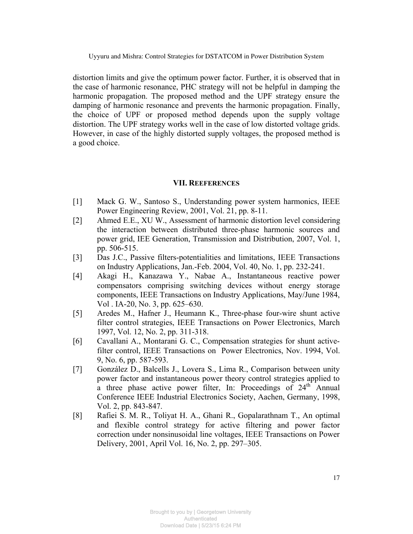distortion limits and give the optimum power factor. Further, it is observed that in the case of harmonic resonance, PHC strategy will not be helpful in damping the harmonic propagation. The proposed method and the UPF strategy ensure the damping of harmonic resonance and prevents the harmonic propagation. Finally, the choice of UPF or proposed method depends upon the supply voltage distortion. The UPF strategy works well in the case of low distorted voltage grids. However, in case of the highly distorted supply voltages, the proposed method is a good choice.

#### **VII. REEFERENCES**

- [1] Mack G. W., Santoso S., Understanding power system harmonics, IEEE Power Engineering Review, 2001, Vol. 21, pp. 8-11.
- [2] Ahmed E.E., XU W., Assessment of harmonic distortion level considering the interaction between distributed three-phase harmonic sources and power grid, IEE Generation, Transmission and Distribution, 2007, Vol. 1, pp. 506-515.
- [3] Das J.C., Passive filters-potentialities and limitations, IEEE Transactions on Industry Applications, Jan.-Feb. 2004, Vol. 40, No. 1, pp. 232-241.
- [4] Akagi H., Kanazawa Y., Nabae A., Instantaneous reactive power compensators comprising switching devices without energy storage components, IEEE Transactions on Industry Applications, May/June 1984, Vol . IA-20, No. 3, pp. 625–630.
- [5] Aredes M., Hafner J., Heumann K., Three-phase four-wire shunt active filter control strategies, IEEE Transactions on Power Electronics, March 1997, Vol. 12, No. 2, pp. 311-318.
- [6] Cavallani A., Montarani G. C., Compensation strategies for shunt activefilter control, IEEE Transactions on Power Electronics, Nov. 1994, Vol. 9, No. 6, pp. 587-593.
- [7] González D., Balcells J., Lovera S., Lima R., Comparison between unity power factor and instantaneous power theory control strategies applied to a three phase active power filter, In: Proceedings of  $24<sup>th</sup>$  Annual Conference IEEE Industrial Electronics Society, Aachen, Germany, 1998, Vol. 2, pp. 843-847.
- [8] Rafiei S. M. R., Toliyat H. A., Ghani R., Gopalarathnam T., An optimal and flexible control strategy for active filtering and power factor correction under nonsinusoidal line voltages, IEEE Transactions on Power Delivery, 2001, April Vol. 16, No. 2, pp. 297–305.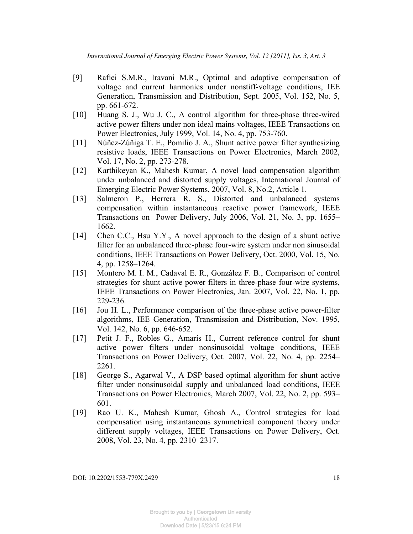- [9] Rafiei S.M.R., Iravani M.R., Optimal and adaptive compensation of voltage and current harmonics under nonstiff-voltage conditions, IEE Generation, Transmission and Distribution, Sept. 2005, Vol. 152, No. 5, pp. 661-672.
- [10] Huang S. J., Wu J. C., A control algorithm for three-phase three-wired active power filters under non ideal mains voltages, IEEE Transactions on Power Electronics, July 1999, Vol. 14, No. 4, pp. 753-760.
- [11] Núñez-Zúñiga T. E., Pomilio J. A., Shunt active power filter synthesizing resistive loads, IEEE Transactions on Power Electronics, March 2002, Vol. 17, No. 2, pp. 273-278.
- [12] Karthikeyan K., Mahesh Kumar, A novel load compensation algorithm under unbalanced and distorted supply voltages, International Journal of Emerging Electric Power Systems, 2007, Vol. 8, No.2, Article 1.
- [13] Salmeron P., Herrera R. S., Distorted and unbalanced systems compensation within instantaneous reactive power framework, IEEE Transactions on Power Delivery, July 2006, Vol. 21, No. 3, pp. 1655– 1662.
- [14] Chen C.C., Hsu Y.Y., A novel approach to the design of a shunt active filter for an unbalanced three-phase four-wire system under non sinusoidal conditions, IEEE Transactions on Power Delivery, Oct. 2000, Vol. 15, No. 4, pp. 1258–1264.
- [15] Montero M. I. M., Cadaval E. R., González F. B., Comparison of control strategies for shunt active power filters in three-phase four-wire systems, IEEE Transactions on Power Electronics, Jan. 2007, Vol. 22, No. 1, pp. 229-236.
- [16] Jou H. L., Performance comparison of the three-phase active power-filter algorithms, IEE Generation, Transmission and Distribution, Nov. 1995, Vol. 142, No. 6, pp. 646-652.
- [17] Petit J. F., Robles G., Amarís H., Current reference control for shunt active power filters under nonsinusoidal voltage conditions, IEEE Transactions on Power Delivery, Oct. 2007, Vol. 22, No. 4, pp. 2254– 2261.
- [18] George S., Agarwal V., A DSP based optimal algorithm for shunt active filter under nonsinusoidal supply and unbalanced load conditions, IEEE Transactions on Power Electronics, March 2007, Vol. 22, No. 2, pp. 593– 601.
- [19] Rao U. K., Mahesh Kumar, Ghosh A., Control strategies for load compensation using instantaneous symmetrical component theory under different supply voltages, IEEE Transactions on Power Delivery, Oct. 2008, Vol. 23, No. 4, pp. 2310–2317.